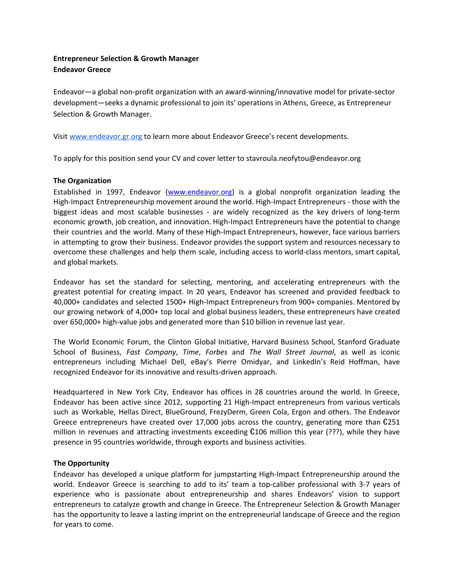# **Entrepreneur Selection & Growth Manager Endeavor Greece**

Endeavor—a global non-profit organization with an award-winning/innovative model for private-sector development—seeks a dynamic professional to join its' operations in Athens, Greece, as Entrepreneur Selection & Growth Manager.

Visit [www.endeavor.gr.org](http://www.endeavor.bg/) to learn more about Endeavor Greece's recent developments.

To apply for this position send your CV and cover letter to stavroula.neofytou@endeavor.org

## **The Organization**

Established in 1997, Endeavor [\(www.endeavor.org\)](http://www.endeavor.org/) is a global nonprofit organization leading the High-Impact Entrepreneurship movement around the world. High-Impact Entrepreneurs - those with the biggest ideas and most scalable businesses - are widely recognized as the key drivers of long-term economic growth, job creation, and innovation. High-Impact Entrepreneurs have the potential to change their countries and the world. Many of these High-Impact Entrepreneurs, however, face various barriers in attempting to grow their business. Endeavor provides the support system and resources necessary to overcome these challenges and help them scale, including access to world-class mentors, smart capital, and global markets.

Endeavor has set the standard for selecting, mentoring, and accelerating entrepreneurs with the greatest potential for creating impact. In 20 years, Endeavor has screened and provided feedback to 40,000+ candidates and selected 1500+ High-Impact Entrepreneurs from 900+ companies. Mentored by our growing network of 4,000+ top local and global business leaders, these entrepreneurs have created over 650,000+ high-value jobs and generated more than \$10 billion in revenue last year.

The World Economic Forum, the Clinton Global Initiative, Harvard Business School, Stanford Graduate School of Business, *Fast Company*, *Time*, *Forbes* and *The Wall Street Journal*, as well as iconic entrepreneurs including Michael Dell, eBay's Pierre Omidyar, and LinkedIn's Reid Hoffman, have recognized Endeavor for its innovative and results-driven approach.

Headquartered in New York City, Endeavor has offices in 28 countries around the world. In Greece, Endeavor has been active since 2012, supporting 21 High-Impact entrepreneurs from various verticals such as Workable, Hellas Direct, BlueGround, FrezyDerm, Green Cola, Ergon and others. The Endeavor Greece entrepreneurs have created over 17,000 jobs across the country, generating more than  $\epsilon$ 251 million in revenues and attracting investments exceeding  $£106$  million this year (???), while they have presence in 95 countries worldwide, through exports and business activities.

## **The Opportunity**

Endeavor has developed a unique platform for jumpstarting High-Impact Entrepreneurship around the world. Endeavor Greece is searching to add to its' team a top-caliber professional with 3-7 years of experience who is passionate about entrepreneurship and shares Endeavors' vision to support entrepreneurs to catalyze growth and change in Greece. The Entrepreneur Selection & Growth Manager has the opportunity to leave a lasting imprint on the entrepreneurial landscape of Greece and the region for years to come.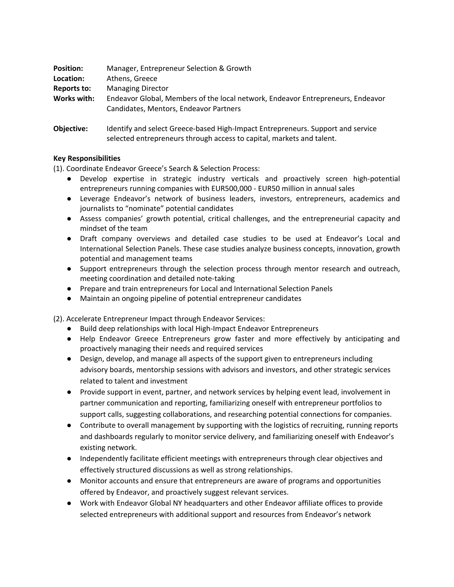| <b>Position:</b>   | Manager, Entrepreneur Selection & Growth                                                                                                                 |
|--------------------|----------------------------------------------------------------------------------------------------------------------------------------------------------|
| Location:          | Athens, Greece                                                                                                                                           |
| <b>Reports to:</b> | <b>Managing Director</b>                                                                                                                                 |
| Works with:        | Endeavor Global, Members of the local network, Endeavor Entrepreneurs, Endeavor<br>Candidates, Mentors, Endeavor Partners                                |
| Objective:         | Identify and select Greece-based High-Impact Entrepreneurs. Support and service<br>selected entrepreneurs through access to capital, markets and talent. |

## **Key Responsibilities**

(1). Coordinate Endeavor Greece's Search & Selection Process:

- Develop expertise in strategic industry verticals and proactively screen high-potential entrepreneurs running companies with EUR500,000 - EUR50 million in annual sales
- Leverage Endeavor's network of business leaders, investors, entrepreneurs, academics and journalists to "nominate" potential candidates
- Assess companies' growth potential, critical challenges, and the entrepreneurial capacity and mindset of the team
- Draft company overviews and detailed case studies to be used at Endeavor's Local and International Selection Panels. These case studies analyze business concepts, innovation, growth potential and management teams
- Support entrepreneurs through the selection process through mentor research and outreach, meeting coordination and detailed note-taking
- Prepare and train entrepreneurs for Local and International Selection Panels
- Maintain an ongoing pipeline of potential entrepreneur candidates

(2). Accelerate Entrepreneur Impact through Endeavor Services:

- Build deep relationships with local High-Impact Endeavor Entrepreneurs
- Help Endeavor Greece Entrepreneurs grow faster and more effectively by anticipating and proactively managing their needs and required services
- Design, develop, and manage all aspects of the support given to entrepreneurs including advisory boards, mentorship sessions with advisors and investors, and other strategic services related to talent and investment
- Provide support in event, partner, and network services by helping event lead, involvement in partner communication and reporting, familiarizing oneself with entrepreneur portfolios to support calls, suggesting collaborations, and researching potential connections for companies.
- Contribute to overall management by supporting with the logistics of recruiting, running reports and dashboards regularly to monitor service delivery, and familiarizing oneself with Endeavor's existing network.
- Independently facilitate efficient meetings with entrepreneurs through clear objectives and effectively structured discussions as well as strong relationships.
- Monitor accounts and ensure that entrepreneurs are aware of programs and opportunities offered by Endeavor, and proactively suggest relevant services.
- Work with Endeavor Global NY headquarters and other Endeavor affiliate offices to provide selected entrepreneurs with additional support and resources from Endeavor's network